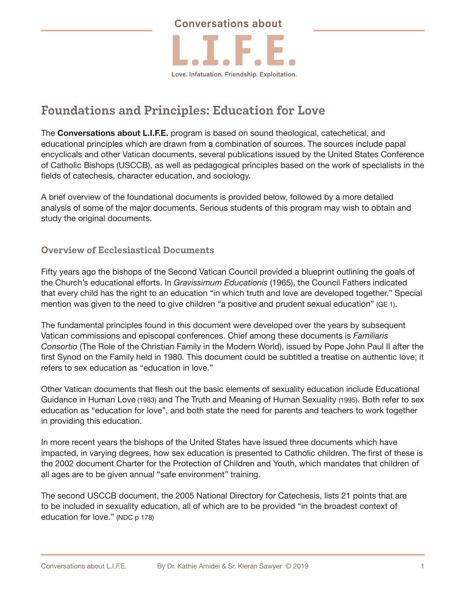

# **Foundations and Principles: Education for Love**

The **Conversations about L.I.F.E.** program is based on sound theological, catechetical, and educational principles which are drawn from a combination of sources. The sources include papal encyclicals and other Vatican documents, several publications issued by the United States Conference of Catholic Bishops (USCCB), as well as pedagogical principles based on the work of specialists in the fields of catechesis, character education, and sociology.

A brief overview of the foundational documents is provided below, followed by a more detailed analysis of some of the major documents. Serious students of this program may wish to obtain and study the original documents.

# **Overview of Ecclesiastical Documents**

Fifty years ago the bishops of the Second Vatican Council provided a blueprint outlining the goals of the Church's educational efforts. In *Gravissimum Educationis* (1965), the Council Fathers indicated that every child has the right to an education "in which truth and love are developed together." Special mention was given to the need to give children "a positive and prudent sexual education" (GE 1).

The fundamental principles found in this document were developed over the years by subsequent Vatican commissions and episcopal conferences. Chief among these documents is *Familiaris Consortio* (The Role of the Christian Family in the Modern World), issued by Pope John Paul II after the first Synod on the Family held in 1980. This document could be subtitled a treatise on authentic love; it refers to sex education as "education in love."

Other Vatican documents that flesh out the basic elements of sexuality education include Educational Guidance in Human Love (1983) and The Truth and Meaning of Human Sexuality (1995). Both refer to sex education as "education for love", and both state the need for parents and teachers to work together in providing this education.

In more recent years the bishops of the United States have issued three documents which have impacted, in varying degrees, how sex education is presented to Catholic children. The first of these is the 2002 document Charter for the Protection of Children and Youth, which mandates that children of all ages are to be given annual "safe environment" training.

The second USCCB document, the 2005 National Directory for Catechesis, lists 21 points that are to be included in sexuality education, all of which are to be provided "in the broadest context of education for love." (NDC p 178)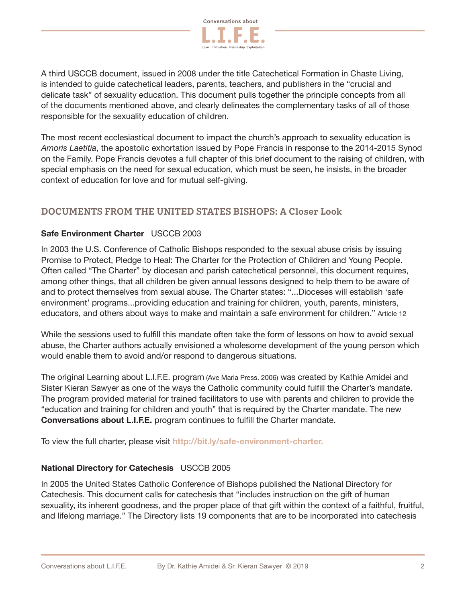

A third USCCB document, issued in 2008 under the title Catechetical Formation in Chaste Living, is intended to guide catechetical leaders, parents, teachers, and publishers in the "crucial and delicate task" of sexuality education. This document pulls together the principle concepts from all of the documents mentioned above, and clearly delineates the complementary tasks of all of those responsible for the sexuality education of children.

The most recent ecclesiastical document to impact the church's approach to sexuality education is *Amoris Laetitia*, the apostolic exhortation issued by Pope Francis in response to the 2014-2015 Synod on the Family. Pope Francis devotes a full chapter of this brief document to the raising of children, with special emphasis on the need for sexual education, which must be seen, he insists, in the broader context of education for love and for mutual self-giving.

## **DOCUMENTS FROM THE UNITED STATES BISHOPS: A Closer Look**

### **Safe Environment Charter** USCCB 2003

In 2003 the U.S. Conference of Catholic Bishops responded to the sexual abuse crisis by issuing Promise to Protect, Pledge to Heal: The Charter for the Protection of Children and Young People. Often called "The Charter" by diocesan and parish catechetical personnel, this document requires, among other things, that all children be given annual lessons designed to help them to be aware of and to protect themselves from sexual abuse. The Charter states: "...Dioceses will establish 'safe environment' programs...providing education and training for children, youth, parents, ministers, educators, and others about ways to make and maintain a safe environment for children." Article 12

While the sessions used to fulfill this mandate often take the form of lessons on how to avoid sexual abuse, the Charter authors actually envisioned a wholesome development of the young person which would enable them to avoid and/or respond to dangerous situations.

The original Learning about L.I.F.E. program (Ave Maria Press. 2006) was created by Kathie Amidei and Sister Kieran Sawyer as one of the ways the Catholic community could fulfill the Charter's mandate. The program provided material for trained facilitators to use with parents and children to provide the "education and training for children and youth" that is required by the Charter mandate. The new **Conversations about L.I.F.E.** program continues to fulfill the Charter mandate.

To view the full charter, please visit **http://bit.ly/safe-environment-charter.**

#### **National Directory for Catechesis** USCCB 2005

In 2005 the United States Catholic Conference of Bishops published the National Directory for Catechesis. This document calls for catechesis that "includes instruction on the gift of human sexuality, its inherent goodness, and the proper place of that gift within the context of a faithful, fruitful, and lifelong marriage." The Directory lists 19 components that are to be incorporated into catechesis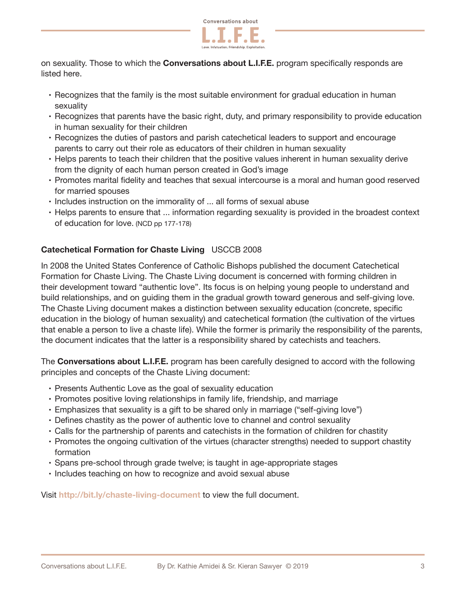

on sexuality. Those to which the **Conversations about L.I.F.E.** program specifically responds are listed here.

- Recognizes that the family is the most suitable environment for gradual education in human sexuality
- Recognizes that parents have the basic right, duty, and primary responsibility to provide education in human sexuality for their children
- Recognizes the duties of pastors and parish catechetical leaders to support and encourage parents to carry out their role as educators of their children in human sexuality
- Helps parents to teach their children that the positive values inherent in human sexuality derive from the dignity of each human person created in God's image
- Promotes marital fidelity and teaches that sexual intercourse is a moral and human good reserved for married spouses
- Includes instruction on the immorality of ... all forms of sexual abuse
- Helps parents to ensure that ... information regarding sexuality is provided in the broadest context of education for love. (NCD pp 177-178)

# **Catechetical Formation for Chaste Living** USCCB 2008

In 2008 the United States Conference of Catholic Bishops published the document Catechetical Formation for Chaste Living. The Chaste Living document is concerned with forming children in their development toward "authentic love". Its focus is on helping young people to understand and build relationships, and on guiding them in the gradual growth toward generous and self-giving love. The Chaste Living document makes a distinction between sexuality education (concrete, specific education in the biology of human sexuality) and catechetical formation (the cultivation of the virtues that enable a person to live a chaste life). While the former is primarily the responsibility of the parents, the document indicates that the latter is a responsibility shared by catechists and teachers.

The **Conversations about L.I.F.E.** program has been carefully designed to accord with the following principles and concepts of the Chaste Living document:

- Presents Authentic Love as the goal of sexuality education
- Promotes positive loving relationships in family life, friendship, and marriage
- Emphasizes that sexuality is a gift to be shared only in marriage ("self-giving love")
- Defines chastity as the power of authentic love to channel and control sexuality
- Calls for the partnership of parents and catechists in the formation of children for chastity
- Promotes the ongoing cultivation of the virtues (character strengths) needed to support chastity formation
- Spans pre-school through grade twelve; is taught in age-appropriate stages
- Includes teaching on how to recognize and avoid sexual abuse

Visit **http://bit.ly/chaste-living-document** to view the full document.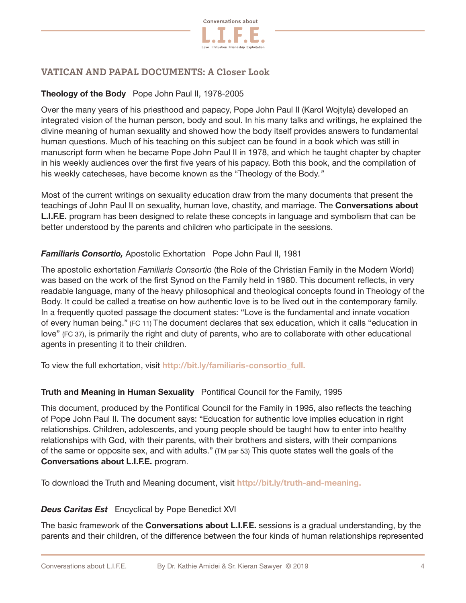

# **VATICAN AND PAPAL DOCUMENTS: A Closer Look**

## **Theology of the Body** Pope John Paul II, 1978-2005

Over the many years of his priesthood and papacy, Pope John Paul II (Karol Wojtyla) developed an integrated vision of the human person, body and soul. In his many talks and writings, he explained the divine meaning of human sexuality and showed how the body itself provides answers to fundamental human questions. Much of his teaching on this subject can be found in a book which was still in manuscript form when he became Pope John Paul II in 1978, and which he taught chapter by chapter in his weekly audiences over the first five years of his papacy. Both this book, and the compilation of his weekly catecheses, have become known as the "Theology of the Body*."* 

Most of the current writings on sexuality education draw from the many documents that present the teachings of John Paul II on sexuality, human love, chastity, and marriage. The **Conversations about L.I.F.E.** program has been designed to relate these concepts in language and symbolism that can be better understood by the parents and children who participate in the sessions.

### *Familiaris Consortio,* Apostolic Exhortation Pope John Paul II, 1981

The apostolic exhortation *Familiaris Consortio* (the Role of the Christian Family in the Modern World) was based on the work of the first Synod on the Family held in 1980. This document reflects, in very readable language, many of the heavy philosophical and theological concepts found in Theology of the Body. It could be called a treatise on how authentic love is to be lived out in the contemporary family. In a frequently quoted passage the document states: "Love is the fundamental and innate vocation of every human being." (FC 11) The document declares that sex education, which it calls "education in love" (FC 37), is primarily the right and duty of parents, who are to collaborate with other educational agents in presenting it to their children.

To view the full exhortation, visit **http://bit.ly/familiaris-consortio\_full.**

#### **Truth and Meaning in Human Sexuality**Pontifical Council for the Family, 1995

This document, produced by the Pontifical Council for the Family in 1995, also reflects the teaching of Pope John Paul II. The document says: "Education for authentic love implies education in right relationships. Children, adolescents, and young people should be taught how to enter into healthy relationships with God, with their parents, with their brothers and sisters, with their companions of the same or opposite sex, and with adults." (TM par 53) This quote states well the goals of the **Conversations about L.I.F.E.** program.

To download the Truth and Meaning document, visit **http://bit.ly/truth-and-meaning.**

#### *Deus Caritas Est* Encyclical by Pope Benedict XVI

The basic framework of the **Conversations about L.I.F.E.** sessions is a gradual understanding, by the parents and their children, of the difference between the four kinds of human relationships represented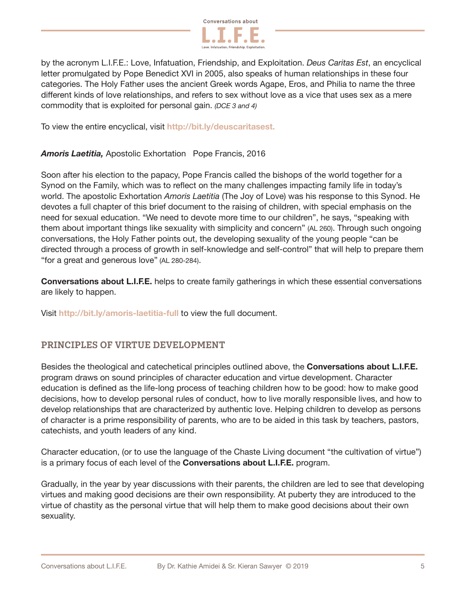

by the acronym L.I.F.E.: Love, Infatuation, Friendship, and Exploitation. *Deus Caritas Est*, an encyclical letter promulgated by Pope Benedict XVI in 2005, also speaks of human relationships in these four categories. The Holy Father uses the ancient Greek words Agape, Eros, and Philia to name the three different kinds of love relationships, and refers to sex without love as a vice that uses sex as a mere commodity that is exploited for personal gain. *(DCE 3 and 4)*

To view the entire encyclical, visit **http://bit.ly/deuscaritasest.**

#### *Amoris Laetitia,* Apostolic Exhortation Pope Francis, 2016

Soon after his election to the papacy, Pope Francis called the bishops of the world together for a Synod on the Family, which was to reflect on the many challenges impacting family life in today's world. The apostolic Exhortation *Amoris Laetitia* (The Joy of Love) was his response to this Synod. He devotes a full chapter of this brief document to the raising of children, with special emphasis on the need for sexual education. "We need to devote more time to our children", he says, "speaking with them about important things like sexuality with simplicity and concern" (AL 260). Through such ongoing conversations, the Holy Father points out, the developing sexuality of the young people "can be directed through a process of growth in self-knowledge and self-control" that will help to prepare them "for a great and generous love" (AL 280-284).

**Conversations about L.I.F.E.** helps to create family gatherings in which these essential conversations are likely to happen.

Visit **http://bit.ly/amoris-laetitia-full** to view the full document.

## **PRINCIPLES OF VIRTUE DEVELOPMENT**

Besides the theological and catechetical principles outlined above, the **Conversations about L.I.F.E.** program draws on sound principles of character education and virtue development. Character education is defined as the life-long process of teaching children how to be good: how to make good decisions, how to develop personal rules of conduct, how to live morally responsible lives, and how to develop relationships that are characterized by authentic love. Helping children to develop as persons of character is a prime responsibility of parents, who are to be aided in this task by teachers, pastors, catechists, and youth leaders of any kind.

Character education, (or to use the language of the Chaste Living document "the cultivation of virtue") is a primary focus of each level of the **Conversations about L.I.F.E.** program.

Gradually, in the year by year discussions with their parents, the children are led to see that developing virtues and making good decisions are their own responsibility. At puberty they are introduced to the virtue of chastity as the personal virtue that will help them to make good decisions about their own sexuality.